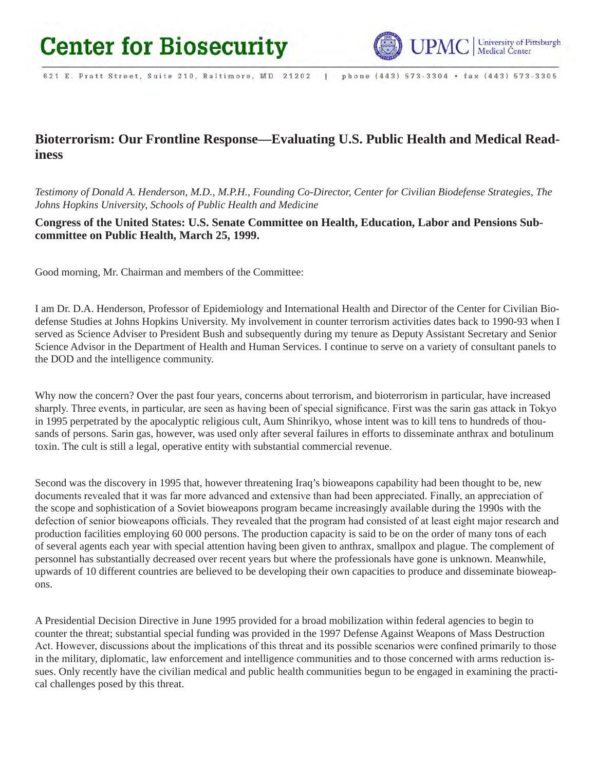

621 E. Pratt Street, Suite 210, Baltimore, MD 21202 | phone (443) 573-3304 · fax (443) 573-3305

# **Bioterrorism: Our Frontline Response—Evaluating U.S. Public Health and Medical Readiness**

*Testimony of Donald A. Henderson, M.D., M.P.H., Founding Co-Director, Center for Civilian Biodefense Strategies, The Johns Hopkins University, Schools of Public Health and Medicine*

**Congress of the United States: U.S. Senate Committee on Health, Education, Labor and Pensions Subcommittee on Public Health, March 25, 1999.**

Good morning, Mr. Chairman and members of the Committee:

I am Dr. D.A. Henderson, Professor of Epidemiology and International Health and Director of the Center for Civilian Biodefense Studies at Johns Hopkins University. My involvement in counter terrorism activities dates back to 1990-93 when I served as Science Adviser to President Bush and subsequently during my tenure as Deputy Assistant Secretary and Senior Science Advisor in the Department of Health and Human Services. I continue to serve on a variety of consultant panels to the DOD and the intelligence community.

Why now the concern? Over the past four years, concerns about terrorism, and bioterrorism in particular, have increased sharply. Three events, in particular, are seen as having been of special significance. First was the sarin gas attack in Tokyo in 1995 perpetrated by the apocalyptic religious cult, Aum Shinrikyo, whose intent was to kill tens to hundreds of thousands of persons. Sarin gas, however, was used only after several failures in efforts to disseminate anthrax and botulinum toxin. The cult is still a legal, operative entity with substantial commercial revenue.

Second was the discovery in 1995 that, however threatening Iraq's bioweapons capability had been thought to be, new documents revealed that it was far more advanced and extensive than had been appreciated. Finally, an appreciation of the scope and sophistication of a Soviet bioweapons program became increasingly available during the 1990s with the defection of senior bioweapons officials. They revealed that the program had consisted of at least eight major research and production facilities employing 60 000 persons. The production capacity is said to be on the order of many tons of each of several agents each year with special attention having been given to anthrax, smallpox and plague. The complement of personnel has substantially decreased over recent years but where the professionals have gone is unknown. Meanwhile, upwards of 10 different countries are believed to be developing their own capacities to produce and disseminate bioweapons.

A Presidential Decision Directive in June 1995 provided for a broad mobilization within federal agencies to begin to counter the threat; substantial special funding was provided in the 1997 Defense Against Weapons of Mass Destruction Act. However, discussions about the implications of this threat and its possible scenarios were confined primarily to those in the military, diplomatic, law enforcement and intelligence communities and to those concerned with arms reduction issues. Only recently have the civilian medical and public health communities begun to be engaged in examining the practical challenges posed by this threat.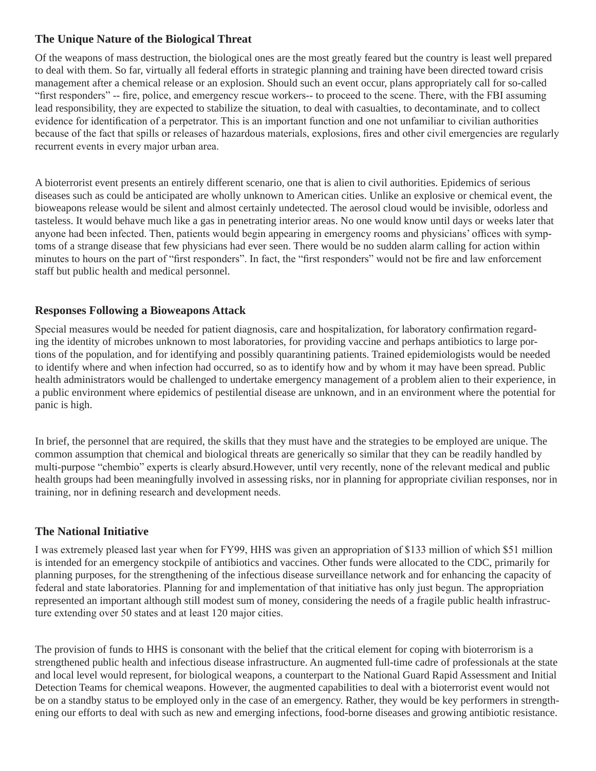#### **The Unique Nature of the Biological Threat**

Of the weapons of mass destruction, the biological ones are the most greatly feared but the country is least well prepared to deal with them. So far, virtually all federal efforts in strategic planning and training have been directed toward crisis management after a chemical release or an explosion. Should such an event occur, plans appropriately call for so-called "first responders" -- fire, police, and emergency rescue workers-- to proceed to the scene. There, with the FBI assuming lead responsibility, they are expected to stabilize the situation, to deal with casualties, to decontaminate, and to collect evidence for identification of a perpetrator. This is an important function and one not unfamiliar to civilian authorities because of the fact that spills or releases of hazardous materials, explosions, fires and other civil emergencies are regularly recurrent events in every major urban area.

A bioterrorist event presents an entirely different scenario, one that is alien to civil authorities. Epidemics of serious diseases such as could be anticipated are wholly unknown to American cities. Unlike an explosive or chemical event, the bioweapons release would be silent and almost certainly undetected. The aerosol cloud would be invisible, odorless and tasteless. It would behave much like a gas in penetrating interior areas. No one would know until days or weeks later that anyone had been infected. Then, patients would begin appearing in emergency rooms and physicians' offices with symptoms of a strange disease that few physicians had ever seen. There would be no sudden alarm calling for action within minutes to hours on the part of "first responders". In fact, the "first responders" would not be fire and law enforcement staff but public health and medical personnel.

### **Responses Following a Bioweapons Attack**

Special measures would be needed for patient diagnosis, care and hospitalization, for laboratory confirmation regarding the identity of microbes unknown to most laboratories, for providing vaccine and perhaps antibiotics to large portions of the population, and for identifying and possibly quarantining patients. Trained epidemiologists would be needed to identify where and when infection had occurred, so as to identify how and by whom it may have been spread. Public health administrators would be challenged to undertake emergency management of a problem alien to their experience, in a public environment where epidemics of pestilential disease are unknown, and in an environment where the potential for panic is high.

In brief, the personnel that are required, the skills that they must have and the strategies to be employed are unique. The common assumption that chemical and biological threats are generically so similar that they can be readily handled by multi-purpose "chembio" experts is clearly absurd.However, until very recently, none of the relevant medical and public health groups had been meaningfully involved in assessing risks, nor in planning for appropriate civilian responses, nor in training, nor in defining research and development needs.

### **The National Initiative**

I was extremely pleased last year when for FY99, HHS was given an appropriation of \$133 million of which \$51 million is intended for an emergency stockpile of antibiotics and vaccines. Other funds were allocated to the CDC, primarily for planning purposes, for the strengthening of the infectious disease surveillance network and for enhancing the capacity of federal and state laboratories. Planning for and implementation of that initiative has only just begun. The appropriation represented an important although still modest sum of money, considering the needs of a fragile public health infrastructure extending over 50 states and at least 120 major cities.

The provision of funds to HHS is consonant with the belief that the critical element for coping with bioterrorism is a strengthened public health and infectious disease infrastructure. An augmented full-time cadre of professionals at the state and local level would represent, for biological weapons, a counterpart to the National Guard Rapid Assessment and Initial Detection Teams for chemical weapons. However, the augmented capabilities to deal with a bioterrorist event would not be on a standby status to be employed only in the case of an emergency. Rather, they would be key performers in strengthening our efforts to deal with such as new and emerging infections, food-borne diseases and growing antibiotic resistance.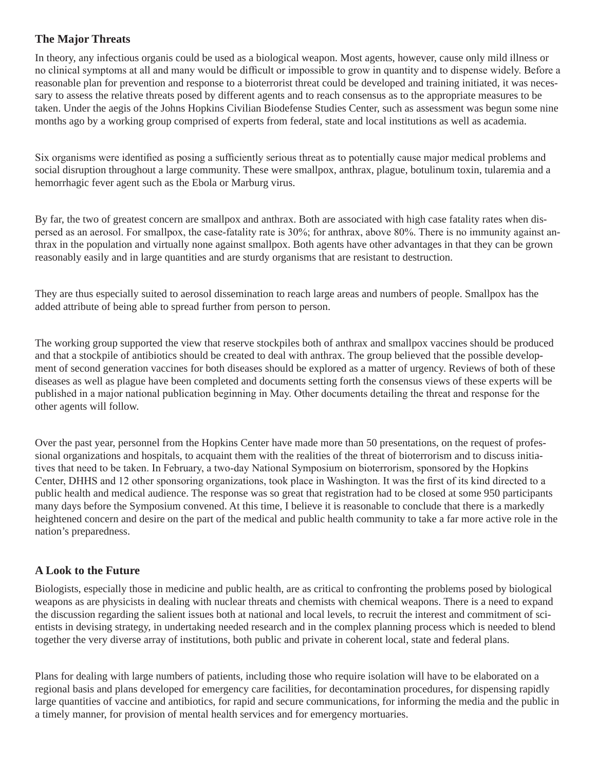### **The Major Threats**

In theory, any infectious organis could be used as a biological weapon. Most agents, however, cause only mild illness or no clinical symptoms at all and many would be difficult or impossible to grow in quantity and to dispense widely. Before a reasonable plan for prevention and response to a bioterrorist threat could be developed and training initiated, it was necessary to assess the relative threats posed by different agents and to reach consensus as to the appropriate measures to be taken. Under the aegis of the Johns Hopkins Civilian Biodefense Studies Center, such as assessment was begun some nine months ago by a working group comprised of experts from federal, state and local institutions as well as academia.

Six organisms were identified as posing a sufficiently serious threat as to potentially cause major medical problems and social disruption throughout a large community. These were smallpox, anthrax, plague, botulinum toxin, tularemia and a hemorrhagic fever agent such as the Ebola or Marburg virus.

By far, the two of greatest concern are smallpox and anthrax. Both are associated with high case fatality rates when dispersed as an aerosol. For smallpox, the case-fatality rate is 30%; for anthrax, above 80%. There is no immunity against anthrax in the population and virtually none against smallpox. Both agents have other advantages in that they can be grown reasonably easily and in large quantities and are sturdy organisms that are resistant to destruction.

They are thus especially suited to aerosol dissemination to reach large areas and numbers of people. Smallpox has the added attribute of being able to spread further from person to person.

The working group supported the view that reserve stockpiles both of anthrax and smallpox vaccines should be produced and that a stockpile of antibiotics should be created to deal with anthrax. The group believed that the possible development of second generation vaccines for both diseases should be explored as a matter of urgency. Reviews of both of these diseases as well as plague have been completed and documents setting forth the consensus views of these experts will be published in a major national publication beginning in May. Other documents detailing the threat and response for the other agents will follow.

Over the past year, personnel from the Hopkins Center have made more than 50 presentations, on the request of professional organizations and hospitals, to acquaint them with the realities of the threat of bioterrorism and to discuss initiatives that need to be taken. In February, a two-day National Symposium on bioterrorism, sponsored by the Hopkins Center, DHHS and 12 other sponsoring organizations, took place in Washington. It was the first of its kind directed to a public health and medical audience. The response was so great that registration had to be closed at some 950 participants many days before the Symposium convened. At this time, I believe it is reasonable to conclude that there is a markedly heightened concern and desire on the part of the medical and public health community to take a far more active role in the nation's preparedness.

## **A Look to the Future**

Biologists, especially those in medicine and public health, are as critical to confronting the problems posed by biological weapons as are physicists in dealing with nuclear threats and chemists with chemical weapons. There is a need to expand the discussion regarding the salient issues both at national and local levels, to recruit the interest and commitment of scientists in devising strategy, in undertaking needed research and in the complex planning process which is needed to blend together the very diverse array of institutions, both public and private in coherent local, state and federal plans.

Plans for dealing with large numbers of patients, including those who require isolation will have to be elaborated on a regional basis and plans developed for emergency care facilities, for decontamination procedures, for dispensing rapidly large quantities of vaccine and antibiotics, for rapid and secure communications, for informing the media and the public in a timely manner, for provision of mental health services and for emergency mortuaries.